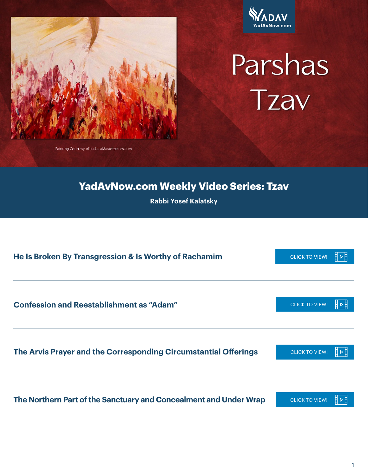



# Parshas Tzav

Painting Courtesy of JudaicaMasterpieces.com

### **YadAvNow.com Weekly Video Series: Tzav**

**Rabbi Yosef Kalatsky**

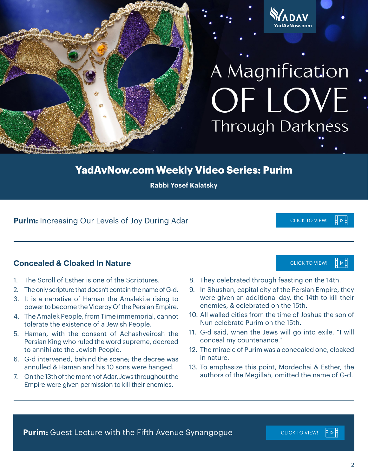

## A Magnification OF LOVE **Through Darkness**

**YadAvNow.com**

### **YadAvNow.com Weekly Video Series: Purim**

**Rabbi Yosef Kalatsky**

### **Purim:** Increasing Our Levels of Joy During Adar **[CLICK TO VIEW!](https://youtu.be/hW-QAn0ca00)** CLICK TO VIEW!

### **Concealed & Cloaked In Nature**

- 1. The Scroll of Esther is one of the Scriptures.
- 2. The only scripture that doesn't contain the name of G-d.
- 3. It is a narrative of Haman the Amalekite rising to power to become the Viceroy Of the Persian Empire.
- 4. The Amalek People, from Time immemorial, cannot tolerate the existence of a Jewish People.
- 5. Haman, with the consent of Achashveirosh the Persian King who ruled the word supreme, decreed to annihilate the Jewish People.
- 6. G-d intervened, behind the scene; the decree was annulled & Haman and his 10 sons were hanged.
- 7. On the 13th of the month of Adar, Jews throughout the Empire were given permission to kill their enemies.
- 8. They celebrated through feasting on the 14th.
- 9. In Shushan, capital city of the Persian Empire, they were given an additional day, the 14th to kill their enemies, & celebrated on the 15th.
- 10. All walled cities from the time of Joshua the son of Nun celebrate Purim on the 15th.
- 11. G-d said, when the Jews will go into exile, "I will conceal my countenance."
- 12. The miracle of Purim was a concealed one, cloaked in nature.
- 13. To emphasize this point, Mordechai & Esther, the authors of the Megillah, omitted the name of G-d.

**Purim:** Guest Lecture with the Fifth Avenue Synangogue **[CLICK TO VIEW!](https://youtu.be/3PGW1A0TDqg)** 

日2日

**CLICK TO VIEW!** 

∄⊲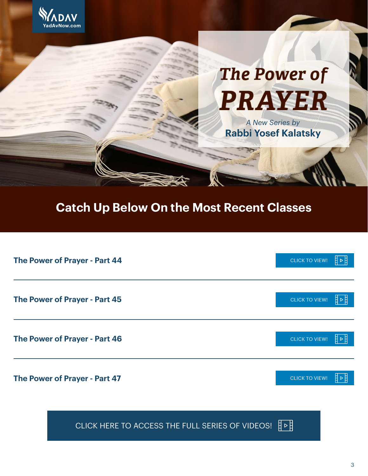

## **The Power of PRAYER**

*A New Series by*  **Rabbi Yosef Kalatsky**

### **Catch Up Below On the Most Recent Classes**

| The Power of Prayer - Part 44 | <b>CLICK TO VIEW!</b> |  |
|-------------------------------|-----------------------|--|
| The Power of Prayer - Part 45 |                       |  |
|                               | <b>CLICK TO VIEW!</b> |  |
| The Power of Prayer - Part 46 |                       |  |
|                               | <b>CLICK TO VIEW!</b> |  |
|                               |                       |  |
| The Power of Prayer - Part 47 | <b>CLICK TO VIEW!</b> |  |

[CLICK HERE TO ACCESS THE FULL SERIES OF VIDEOS!](https://www.yadavnow.com/the-power-of-prayer/)  $\overline{F}$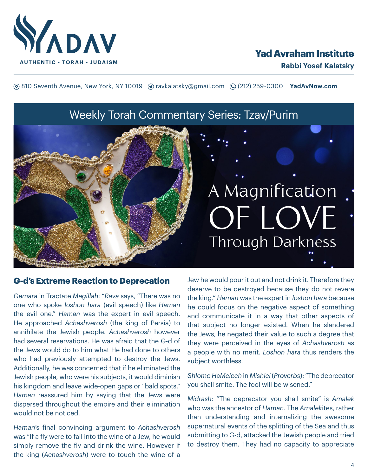

### **Yad Avraham Institute**

**(**® 810 Seventh Avenue, New York, NY 10019 (? ravkalatsky@gmail.com (2(212) 259-0300 **YadAvNow.com** 

Weekly Torah Commentary Series: Tzav/Purim

### A Magnification OF LOVE **Through Darkness**

#### **G-d's Extreme Reaction to Deprecation**

*Gemara* in Tractate *Megillah*: "*Rava* says, "There was no one who spoke *loshon hara* (evil speech) like *Haman* the evil one." *Haman* was the expert in evil speech. He approached *Achashverosh* (the king of Persia) to annihilate the Jewish people. *Achashverosh* however had several reservations. He was afraid that the G-d of the Jews would do to him what He had done to others who had previously attempted to destroy the Jews. Additionally, he was concerned that if he eliminated the Jewish people, who were his subjects, it would diminish his kingdom and leave wide-open gaps or "bald spots." *Haman* reassured him by saying that the Jews were dispersed throughout the empire and their elimination would not be noticed.

*Haman*'s final convincing argument to *Achashverosh* was "If a fly were to fall into the wine of a Jew, he would simply remove the fly and drink the wine. However if the king (*Achashverosh*) were to touch the wine of a

Jew he would pour it out and not drink it. Therefore they deserve to be destroyed because they do not revere the king." *Haman* was the expert in *loshon hara* because he could focus on the negative aspect of something and communicate it in a way that other aspects of that subject no longer existed. When he slandered the Jews, he negated their value to such a degree that they were perceived in the eyes of *Achashverosh* as a people with no merit. *Loshon hara* thus renders the subject worthless.

*Shlomo HaMelech* in *Mishlei* (*Proverbs*): "The deprecator you shall smite. The fool will be wisened."

*Midrash*: "The deprecator you shall smite" is *Amalek* who was the ancestor of *Haman*. The *Amalek*ites, rather than understanding and internalizing the awesome supernatural events of the splitting of the Sea and thus submitting to G-d, attacked the Jewish people and tried to destroy them. They had no capacity to appreciate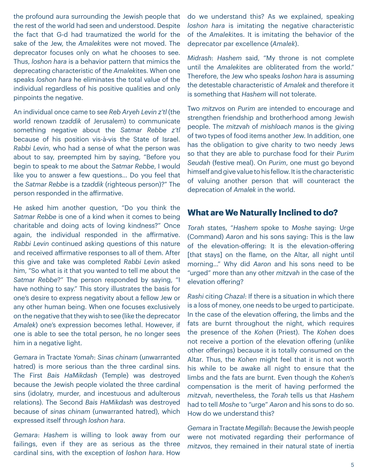the profound aura surrounding the Jewish people that the rest of the world had seen and understood. Despite the fact that G-d had traumatized the world for the sake of the Jew, the *Amalek*ites were not moved. The deprecator focuses only on what he chooses to see. Thus, *loshon hara* is a behavior pattern that mimics the deprecating characteristic of the *Amalek*ites. When one speaks *loshon hara* he eliminates the total value of the individual regardless of his positive qualities and only pinpoints the negative.

An individual once came to see *Reb Aryeh Levin z'tl* (the world renown *tzaddik* of Jerusalem) to communicate something negative about the *Satmar Rebbe z'tl*  because of his position vis-à-vis the State of Israel. *Rabbi Levin*, who had a sense of what the person was about to say, preempted him by saying, "Before you begin to speak to me about the *Satmar Rebbe*, I would like you to answer a few questions… Do you feel that the *Satmar Rebbe* is a *tzaddik* (righteous person)?" The person responded in the affirmative.

He asked him another question, "Do you think the *Satmar Rebbe* is one of a kind when it comes to being charitable and doing acts of loving kindness?" Once again, the individual responded in the affirmative. *Rabbi Levin* continued asking questions of this nature and received affirmative responses to all of them. After this give and take was completed *Rabbi Levin* asked him, "So what is it that you wanted to tell me about the *Satmar Rebbe*?" The person responded by saying, "I have nothing to say." This story illustrates the basis for one's desire to express negativity about a fellow Jew or any other human being. When one focuses exclusively on the negative that they wish to see (like the deprecator *Amalek*) one's expression becomes lethal. However, if one is able to see the total person, he no longer sees him in a negative light.

*Gemara* in Tractate *Yomah*: *Sinas chinam* (unwarranted hatred) is more serious than the three cardinal sins. The First *Bais HaMikdash* (Temple) was destroyed because the Jewish people violated the three cardinal sins (idolatry, murder, and incestuous and adulterous relations). The Second *Bais HaMikdash* was destroyed because of *sinas chinam* (unwarranted hatred), which expressed itself through *loshon hara*.

*Gemara*: *Hashem* is willing to look away from our failings, even if they are as serious as the three cardinal sins, with the exception of *loshon hara*. How

do we understand this? As we explained, speaking *loshon hara* is imitating the negative characteristic of the *Amalek*ites. It is imitating the behavior of the deprecator par excellence (*Amalek*).

*Midrash*: *Hashem* said, "My throne is not complete until the *Amalek*ites are obliterated from the world." Therefore, the Jew who speaks *loshon hara* is assuming the detestable characteristic of *Amalek* and therefore it is something that *Hashem* will not tolerate.

Two *mitzvos* on *Purim* are intended to encourage and strengthen friendship and brotherhood among Jewish people. The *mitzvah* of *mishloach manos* is the giving of two types of food items another Jew. In addition, one has the obligation to give charity to two needy Jews so that they are able to purchase food for their *Purim Seudah* (festive meal). On *Purim*, one must go beyond himself and give value to his fellow. It is the characteristic of valuing another person that will counteract the deprecation of *Amalek* in the world.

### **What are We Naturally Inclined to do?**

*Torah* states, "*Hashem* spoke to *Moshe* saying: Urge (Command) *Aaron* and his sons saying: This is the law of the elevation-offering: It is the elevation-offering [that stays] on the flame, on the Altar, all night until morning…" Why did *Aaron* and his sons need to be "urged" more than any other *mitzvah* in the case of the elevation offering?

*Rashi* citing *Chazal*: If there is a situation in which there is a loss of money, one needs to be urged to participate. In the case of the elevation offering, the limbs and the fats are burnt throughout the night, which requires the presence of the *Kohen* (Priest). The *Kohen* does not receive a portion of the elevation offering (unlike other offerings) because it is totally consumed on the Altar. Thus, the *Kohen* might feel that it is not worth his while to be awake all night to ensure that the limbs and the fats are burnt. Even though the *Kohen*'s compensation is the merit of having performed the *mitzvah*, nevertheless, the *Torah* tells us that *Hashem* had to tell *Moshe* to "urge" *Aaron* and his sons to do so. How do we understand this?

*Gemara* in Tractate *Megillah*: Because the Jewish people were not motivated regarding their performance of *mitzvos*, they remained in their natural state of inertia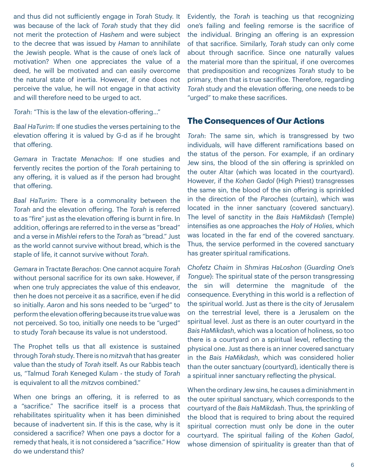and thus did not sufficiently engage in *Torah* Study. It was because of the lack of *Torah* study that they did not merit the protection of *Hashem* and were subject to the decree that was issued by *Haman* to annihilate the Jewish people. What is the cause of one's lack of motivation? When one appreciates the value of a deed, he will be motivated and can easily overcome the natural state of inertia. However, if one does not perceive the value, he will not engage in that activity and will therefore need to be urged to act.

*Torah*: "This is the law of the elevation-offering…"

*Baal HaTurim*: If one studies the verses pertaining to the elevation offering it is valued by G-d as if he brought that offering.

*Gemara* in Tractate *Menachos*: If one studies and fervently recites the portion of the *Torah* pertaining to any offering, it is valued as if the person had brought that offering.

*Baal HaTurim*: There is a commonality between the *Torah* and the elevation offering. The *Torah* is referred to as "fire" just as the elevation offering is burnt in fire. In addition, offerings are referred to in the verse as "bread" and a verse in *Mishlei* refers to the *Torah* as "bread." Just as the world cannot survive without bread, which is the staple of life, it cannot survive without *Torah*.

*Gemara* in Tractate *Berachos*: One cannot acquire *Torah* without personal sacrifice for its own sake. However, if when one truly appreciates the value of this endeavor, then he does not perceive it as a sacrifice, even if he did so initially. *Aaron* and his sons needed to be "urged" to perform the elevation offering because its true value was not perceived. So too, initially one needs to be "urged" to study *Torah* because its value is not understood.

The Prophet tells us that all existence is sustained through *Torah* study. There is no *mitzvah* that has greater value than the study of *Torah* itself. As our Rabbis teach us, "Talmud *Torah* Keneged Kulam - the study of *Torah* is equivalent to all the *mitzvos* combined."

When one brings an offering, it is referred to as a "sacrifice." The sacrifice itself is a process that rehabilitates spirituality when it has been diminished because of inadvertent sin. If this is the case, why is it considered a sacrifice? When one pays a doctor for a remedy that heals, it is not considered a "sacrifice." How do we understand this?

Evidently, the *Torah* is teaching us that recognizing one's failing and feeling remorse is the sacrifice of the individual. Bringing an offering is an expression of that sacrifice. Similarly, *Torah* study can only come about through sacrifice. Since one naturally values the material more than the spiritual, if one overcomes that predisposition and recognizes *Torah* study to be primary, then that is true sacrifice. Therefore, regarding *Torah* study and the elevation offering, one needs to be "urged" to make these sacrifices.

### **The Consequences of Our Actions**

*Torah*: The same sin, which is transgressed by two individuals, will have different ramifications based on the status of the person. For example, if an ordinary Jew sins, the blood of the sin offering is sprinkled on the outer Altar (which was located in the courtyard). However, if the *Kohen Gadol* (High Priest) transgresses the same sin, the blood of the sin offering is sprinkled in the direction of the *Paroches* (curtain), which was located in the inner sanctuary (covered sanctuary). The level of sanctity in the *Bais HaMikdash* (Temple) intensifies as one approaches the *Holy of Holies*, which was located in the far end of the covered sanctuary. Thus, the service performed in the covered sanctuary has greater spiritual ramifications.

*Chofetz Chaim* in *Shmiras HaLoshon* (*Guarding One's Tongue*): The spiritual state of the person transgressing the sin will determine the magnitude of the consequence. Everything in this world is a reflection of the spiritual world. Just as there is the city of Jerusalem on the terrestrial level, there is a Jerusalem on the spiritual level. Just as there is an outer courtyard in the *Bais HaMikdash*, which was a location of holiness, so too there is a courtyard on a spiritual level, reflecting the physical one. Just as there is an inner covered sanctuary in the *Bais HaMikdash*, which was considered holier than the outer sanctuary (courtyard), identically there is a spiritual inner sanctuary reflecting the physical.

When the ordinary Jew sins, he causes a diminishment in the outer spiritual sanctuary, which corresponds to the courtyard of the *Bais HaMikdash*. Thus, the sprinkling of the blood that is required to bring about the required spiritual correction must only be done in the outer courtyard. The spiritual failing of the *Kohen Gadol*, whose dimension of spirituality is greater than that of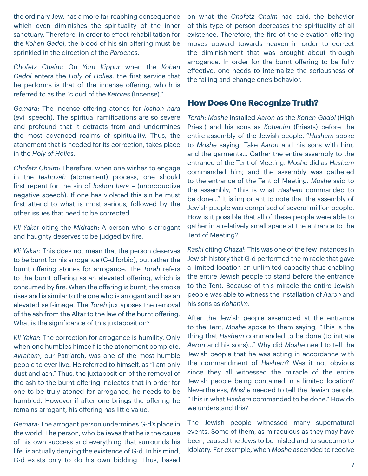the ordinary Jew, has a more far-reaching consequence which even diminishes the spirituality of the inner sanctuary. Therefore, in order to effect rehabilitation for the *Kohen Gadol*, the blood of his sin offering must be sprinkled in the direction of the *Paroches*.

*Chofetz Chaim*: On *Yom Kippur* when the *Kohen Gadol* enters the *Holy of Holies*, the first service that he performs is that of the incense offering, which is referred to as the "cloud of the *Ketores* (Incense)."

*Gemara*: The incense offering atones for *loshon hara* (evil speech). The spiritual ramifications are so severe and profound that it detracts from and undermines the most advanced realms of spirituality. Thus, the atonement that is needed for its correction, takes place in the *Holy of Holies*.

*Chofetz Chaim*: Therefore, when one wishes to engage in the *teshuvah* (atonement) process, one should first repent for the sin of *loshon hara* – (unproductive negative speech). If one has violated this sin he must first attend to what is most serious, followed by the other issues that need to be corrected.

*Kli Yakar* citing the *Midrash*: A person who is arrogant and haughty deserves to be judged by fire.

*Kli Yakar*: This does not mean that the person deserves to be burnt for his arrogance (G-d forbid), but rather the burnt offering atones for arrogance. The *Torah* refers to the burnt offering as an elevated offering, which is consumed by fire. When the offering is burnt, the smoke rises and is similar to the one who is arrogant and has an elevated self-image. The *Torah* juxtaposes the removal of the ash from the Altar to the law of the burnt offering. What is the significance of this juxtaposition?

*Kli Yakar*: The correction for arrogance is humility. Only when one humbles himself is the atonement complete. *Avraham*, our Patriarch, was one of the most humble people to ever live. He referred to himself, as "I am only dust and ash." Thus, the juxtaposition of the removal of the ash to the burnt offering indicates that in order for one to be truly atoned for arrogance, he needs to be humbled. However if after one brings the offering he remains arrogant, his offering has little value.

*Gemara*: The arrogant person undermines G-d's place in the world. The person, who believes that he is the cause of his own success and everything that surrounds his life, is actually denying the existence of G-d. In his mind, G-d exists only to do his own bidding. Thus, based on what the *Chofetz Chaim* had said, the behavior of this type of person decreases the spirituality of all existence. Therefore, the fire of the elevation offering moves upward towards heaven in order to correct the diminishment that was brought about through arrogance. In order for the burnt offering to be fully effective, one needs to internalize the seriousness of the failing and change one's behavior.

### **How Does One Recognize Truth?**

*Torah*: *Moshe* installed *Aaron* as the *Kohen Gadol* (High Priest) and his sons as *Kohanim* (Priests) before the entire assembly of the Jewish people. "*Hashem* spoke to *Moshe* saying: Take *Aaron* and his sons with him, and the garments… Gather the entire assembly to the entrance of the Tent of Meeting. *Moshe* did as *Hashem* commanded him; and the assembly was gathered to the entrance of the Tent of Meeting. *Moshe* said to the assembly, "This is what *Hashem* commanded to be done…" It is important to note that the assembly of Jewish people was comprised of several million people. How is it possible that all of these people were able to gather in a relatively small space at the entrance to the Tent of Meeting?

*Rashi* citing *Chazal*: This was one of the few instances in Jewish history that G-d performed the miracle that gave a limited location an unlimited capacity thus enabling the entire Jewish people to stand before the entrance to the Tent. Because of this miracle the entire Jewish people was able to witness the installation of *Aaron* and his sons as *Kohanim*.

After the Jewish people assembled at the entrance to the Tent, *Moshe* spoke to them saying, "This is the thing that *Hashem* commanded to be done (to initiate *Aaron* and his sons)…" Why did *Moshe* need to tell the Jewish people that he was acting in accordance with the commandment of *Hashem*? Was it not obvious since they all witnessed the miracle of the entire Jewish people being contained in a limited location? Nevertheless, *Moshe* needed to tell the Jewish people, "This is what *Hashem* commanded to be done." How do we understand this?

The Jewish people witnessed many supernatural events. Some of them, as miraculous as they may have been, caused the Jews to be misled and to succumb to idolatry. For example, when *Moshe* ascended to receive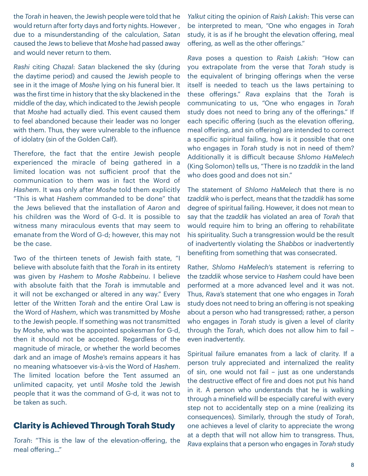the *Torah* in heaven, the Jewish people were told that he would return after forty days and forty nights. However , due to a misunderstanding of the calculation, *Satan* caused the Jews to believe that *Moshe* had passed away and would never return to them.

*Rashi* citing *Chazal*: *Satan* blackened the sky (during the daytime period) and caused the Jewish people to see in it the image of *Moshe* lying on his funeral bier. It was the first time in history that the sky blackened in the middle of the day, which indicated to the Jewish people that *Moshe* had actually died. This event caused them to feel abandoned because their leader was no longer with them. Thus, they were vulnerable to the influence of idolatry (sin of the Golden Calf).

Therefore, the fact that the entire Jewish people experienced the miracle of being gathered in a limited location was not sufficient proof that the communication to them was in fact the Word of *Hashem*. It was only after *Moshe* told them explicitly "This is what *Hashem* commanded to be done" that the Jews believed that the installation of *Aaron* and his children was the Word of G-d. It is possible to witness many miraculous events that may seem to emanate from the Word of G-d; however, this may not be the case.

Two of the thirteen tenets of Jewish faith state, "I believe with absolute faith that the *Torah* in its entirety was given by *Hashem* to *Moshe Rabbeinu*. I believe with absolute faith that the *Torah* is immutable and it will not be exchanged or altered in any way." Every letter of the Written *Torah* and the entire Oral Law is the Word of *Hashem*, which was transmitted by *Moshe* to the Jewish people. If something was not transmitted by *Moshe*, who was the appointed spokesman for G-d, then it should not be accepted. Regardless of the magnitude of miracle, or whether the world becomes dark and an image of *Moshe*'s remains appears it has no meaning whatsoever vis-à-vis the Word of *Hashem*. The limited location before the Tent assumed an unlimited capacity, yet until *Moshe* told the Jewish people that it was the command of G-d, it was not to be taken as such.

### **Clarity is Achieved Through Torah Study**

*Torah*: "This is the law of the elevation-offering, the meal offering…"

*Yalkut* citing the opinion of *Raish Lakish*: This verse can be interpreted to mean, "One who engages in *Torah* study, it is as if he brought the elevation offering, meal offering, as well as the other offerings."

*Rava* poses a question to *Raish Lakish*: "How can you extrapolate from the verse that *Torah* study is the equivalent of bringing offerings when the verse itself is needed to teach us the laws pertaining to these offerings." *Rava* explains that the *Torah* is communicating to us, "One who engages in *Torah* study does not need to bring any of the offerings." If each specific offering (such as the elevation offering, meal offering, and sin offering) are intended to correct a specific spiritual failing, how is it possible that one who engages in *Torah* study is not in need of them? Additionally it is difficult because *Shlomo HaMelech* (King Solomon) tells us, "There is no *tzaddik* in the land who does good and does not sin."

The statement of *Shlomo HaMelech* that there is no *tzaddik* who is perfect, means that the *tzaddik* has some degree of spiritual failing. However, it does not mean to say that the *tzaddik* has violated an area of *Torah* that would require him to bring an offering to rehabilitate his spirituality. Such a transgression would be the result of inadvertently violating the *Shabbos* or inadvertently benefiting from something that was consecrated.

Rather, *Shlomo HaMelech*'s statement is referring to the *tzaddik* whose service to *Hashem* could have been performed at a more advanced level and it was not. Thus, *Rava*'s statement that one who engages in *Torah* study does not need to bring an offering is not speaking about a person who had transgressed; rather, a person who engages in *Torah* study is given a level of clarity through the *Torah*, which does not allow him to fail – even inadvertently.

Spiritual failure emanates from a lack of clarity. If a person truly appreciated and internalized the reality of sin, one would not fail – just as one understands the destructive effect of fire and does not put his hand in it. A person who understands that he is walking through a minefield will be especially careful with every step not to accidentally step on a mine (realizing its consequences). Similarly, through the study of *Torah*, one achieves a level of clarity to appreciate the wrong at a depth that will not allow him to transgress. Thus, *Rava* explains that a person who engages in *Torah* study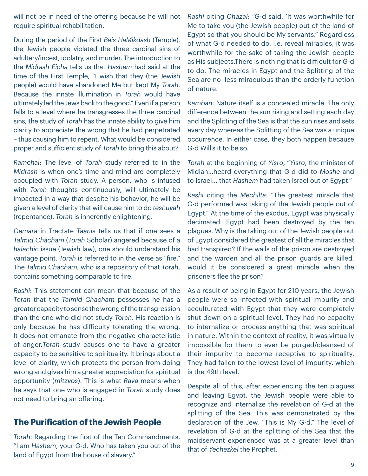will not be in need of the offering because he will not require spiritual rehabilitation.

During the period of the First *Bais HaMikdash* (Temple), the Jewish people violated the three cardinal sins of adultery/incest, idolatry, and murder. The introduction to the *Midrash Eicha* tells us that *Hashem* had said at the time of the First Temple, "I wish that they (the Jewish people) would have abandoned Me but kept My *Torah*. Because the innate illumination in *Torah* would have ultimately led the Jews back to the good." Even if a person falls to a level where he transgresses the three cardinal sins, the study of *Torah* has the innate ability to give him clarity to appreciate the wrong that he had perpetrated – thus causing him to repent. What would be considered proper and sufficient study of *Torah* to bring this about?

*Ramchal*: The level of *Torah* study referred to in the *Midrash* is when one's time and mind are completely occupied with *Torah* study. A person, who is infused with *Torah* thoughts continuously, will ultimately be impacted in a way that despite his behavior, he will be given a level of clarity that will cause him to do *teshuvah* (repentance). *Torah* is inherently enlightening.

*Gemara* in Tractate *Taanis* tells us that if one sees a *Talmid Chacham* (*Torah* Scholar) angered because of a *halachic* issue (Jewish law), one should understand his vantage point. *Torah* is referred to in the verse as "fire." The *Talmid Chacham*, who is a repository of that *Torah*, contains something comparable to fire.

*Rashi*: This statement can mean that because of the *Torah* that the *Talmid Chacham* possesses he has a greater capacity to sense the wrong of the transgression than the one who did not study *Torah*. His reaction is only because he has difficulty tolerating the wrong. It does not emanate from the negative characteristic of anger.*Torah* study causes one to have a greater capacity to be sensitive to spirituality. It brings about a level of clarity, which protects the person from doing wrong and gives him a greater appreciation for spiritual opportunity (*mitzvos*). This is what *Rava* means when he says that one who is engaged in *Torah* study does not need to bring an offering.

### **The Purification of the Jewish People**

*Torah*: Regarding the first of the Ten Commandments, "I am *Hashem*, your G-d, Who has taken you out of the land of Egypt from the house of slavery."

*Rashi* citing *Chazal*: "G-d said, 'It was worthwhile for Me to take you (the Jewish people) out of the land of Egypt so that you should be My servants." Regardless of what G-d needed to do, i.e. reveal miracles, it was worthwhile for the sake of taking the Jewish people as His subjects.There is nothing that is difficult for G-d to do. The miracles in Egypt and the Splitting of the Sea are no less miraculous than the orderly function of nature.

*Ramban*: Nature itself is a concealed miracle. The only difference between the sun rising and setting each day and the Splitting of the Sea is that the sun rises and sets every day whereas the Splitting of the Sea was a unique occurrence. In either case, they both happen because G-d Will's it to be so.

*Torah* at the beginning of *Yisro*, "*Yisro*, the minister of Midian…heard everything that G-d did to *Moshe* and to Israel… that *Hashem* had taken Israel out of Egypt."

*Rashi* citing the *Mechilta*: "The greatest miracle that G-d performed was taking of the Jewish people out of Egypt." At the time of the exodus, Egypt was physically decimated. Egypt had been destroyed by the ten plagues. Why is the taking out of the Jewish people out of Egypt considered the greatest of all the miracles that had transpired? If the walls of the prison are destroyed and the warden and all the prison guards are killed, would it be considered a great miracle when the prisoners flee the prison?

As a result of being in Egypt for 210 years, the Jewish people were so infected with spiritual impurity and acculturated with Egypt that they were completely shut down on a spiritual level. They had no capacity to internalize or process anything that was spiritual in nature. Within the context of reality, it was virtually impossible for them to ever be purged/cleansed of their impurity to become receptive to spirituality. They had fallen to the lowest level of impurity, which is the 49th level.

Despite all of this, after experiencing the ten plagues and leaving Egypt, the Jewish people were able to recognize and internalize the revelation of G-d at the splitting of the Sea. This was demonstrated by the declaration of the Jew, "This is My G-d." The level of revelation of G-d at the splitting of the Sea that the maidservant experienced was at a greater level than that of *Yechezkel* the Prophet.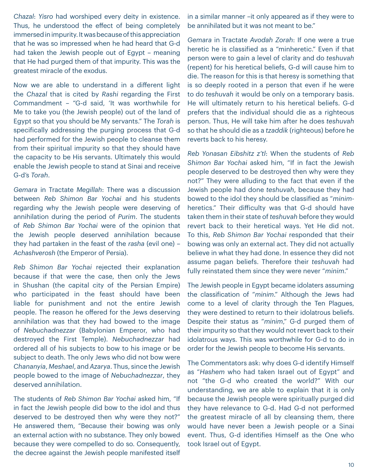*Chazal*: *Yisro* had worshiped every deity in existence. Thus, he understood the effect of being completely immersed in impurity. It was because of this appreciation that he was so impressed when he had heard that G-d had taken the Jewish people out of Egypt – meaning that He had purged them of that impurity. This was the greatest miracle of the exodus.

Now we are able to understand in a different light the *Chazal* that is cited by *Rashi* regarding the First Commandment – "G-d said, 'It was worthwhile for Me to take you (the Jewish people) out of the land of Egypt so that you should be My servants." The *Torah* is specifically addressing the purging process that G-d had performed for the Jewish people to cleanse them from their spiritual impurity so that they should have the capacity to be His servants. Ultimately this would enable the Jewish people to stand at Sinai and receive G-d's *Torah*.

*Gemara* in Tractate *Megillah*: There was a discussion between *Reb Shimon Bar Yochai* and his students regarding why the Jewish people were deserving of annihilation during the period of *Purim*. The students of *Reb Shimon Bar Yochai* were of the opinion that the Jewish people deserved annihilation because they had partaken in the feast of the *rasha* (evil one) – *Achashverosh* (the Emperor of Persia).

*Reb Shimon Bar Yochai* rejected their explanation because if that were the case, then only the Jews in Shushan (the capital city of the Persian Empire) who participated in the feast should have been liable for punishment and not the entire Jewish people. The reason he offered for the Jews deserving annihilation was that they had bowed to the image of *Nebuchadnezzar* (Babylonian Emperor, who had destroyed the First Temple). *Nebuchadnezzar* had ordered all of his subjects to bow to his image or be subject to death. The only Jews who did not bow were *Chananyia*, *Meshael*, and *Azarya*. Thus, since the Jewish people bowed to the image of *Nebuchadnezzar*, they deserved annihilation.

The students of *Reb Shimon Bar Yochai* asked him, "If in fact the Jewish people did bow to the idol and thus deserved to be destroyed then why were they not?" He answered them, "Because their bowing was only an external action with no substance. They only bowed because they were compelled to do so. Consequently, the decree against the Jewish people manifested itself

in a similar manner –it only appeared as if they were to be annihilated but it was not meant to be."

*Gemara* in Tractate *Avodah Zorah*: If one were a true heretic he is classified as a "minheretic." Even if that person were to gain a level of clarity and do *teshuvah* (repent) for his heretical beliefs, G-d will cause him to die. The reason for this is that heresy is something that is so deeply rooted in a person that even if he were to do *teshuvah* it would be only on a temporary basis. He will ultimately return to his heretical beliefs. G-d prefers that the individual should die as a righteous person. Thus, He will take him after he does *teshuvah* so that he should die as a *tzaddik* (righteous) before he reverts back to his heresy.

*Reb Yonasan Eibshitz z'tl*: When the students of *Reb Shimon Bar Yochai* asked him, "If in fact the Jewish people deserved to be destroyed then why were they not?" They were alluding to the fact that even if the Jewish people had done *teshuvah*, because they had bowed to the idol they should be classified as "*minim*heretics." Their difficulty was that G-d should have taken them in their state of *teshuvah* before they would revert back to their heretical ways. Yet He did not. To this, *Reb Shimon Bar Yochai* responded that their bowing was only an external act. They did not actually believe in what they had done. In essence they did not assume pagan beliefs. Therefore their *teshuvah* had fully reinstated them since they were never "*minim*."

The Jewish people in Egypt became idolaters assuming the classification of "*minim*." Although the Jews had come to a level of clarity through the Ten Plagues, they were destined to return to their idolatrous beliefs. Despite their status as "*minim*," G-d purged them of their impurity so that they would not revert back to their idolatrous ways. This was worthwhile for G-d to do in order for the Jewish people to become His servants.

The Commentators ask: why does G-d identify Himself as "*Hashem* who had taken Israel out of Egypt" and not "the G-d who created the world?" With our understanding, we are able to explain that it is only because the Jewish people were spiritually purged did they have relevance to G-d. Had G-d not performed the greatest miracle of all by cleansing them, there would have never been a Jewish people or a Sinai event. Thus, G-d identifies Himself as the One who took Israel out of Egypt.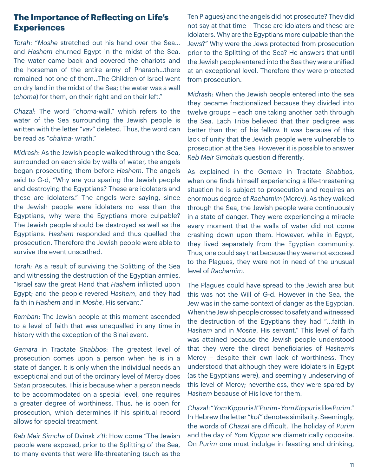### **The Importance of Reflecting on Life's Experiences**

*Torah*: "*Moshe* stretched out his hand over the Sea… and *Hashem* churned Egypt in the midst of the Sea. The water came back and covered the chariots and the horseman of the entire army of Pharaoh…there remained not one of them…The Children of Israel went on dry land in the midst of the Sea; the water was a wall (*choma*) for them, on their right and on their left."

*Chazal*: The word "*choma*-wall," which refers to the water of the Sea surrounding the Jewish people is written with the letter "*vav*" deleted. Thus, the word can be read as "*chaima*- wrath."

*Midrash*: As the Jewish people walked through the Sea, surrounded on each side by walls of water, the angels began prosecuting them before *Hashem*. The angels said to G-d, "Why are you sparing the Jewish people and destroying the Egyptians? These are idolaters and these are idolaters." The angels were saying, since the Jewish people were idolaters no less than the Egyptians, why were the Egyptians more culpable? The Jewish people should be destroyed as well as the Egyptians. *Hashem* responded and thus quelled the prosecution. Therefore the Jewish people were able to survive the event unscathed.

*Torah:* As a result of surviving the Splitting of the Sea and witnessing the destruction of the Egyptian armies, "Israel saw the great Hand that *Hashem* inflicted upon Egypt; and the people revered *Hashem*, and they had faith in *Hashem* and in *Moshe*, His servant."

*Ramban*: The Jewish people at this moment ascended to a level of faith that was unequalled in any time in history with the exception of the Sinai event.

*Gemara* in Tractate *Shabbos*: The greatest level of prosecution comes upon a person when he is in a state of danger. It is only when the individual needs an exceptional and out of the ordinary level of Mercy does *Satan* prosecutes. This is because when a person needs to be accommodated on a special level, one requires a greater degree of worthiness. Thus, he is open for prosecution, which determines if his spiritual record allows for special treatment.

*Reb Meir Simcha* of Dvinsk *z'tl*: How come "The Jewish people were exposed, prior to the Splitting of the Sea, to many events that were life-threatening (such as the

Ten Plagues) and the angels did not prosecute? They did not say at that time – These are idolaters and these are idolaters. Why are the Egyptians more culpable than the Jews?" Why were the Jews protected from prosecution prior to the Splitting of the Sea? He answers that until the Jewish people entered into the Sea they were unified at an exceptional level. Therefore they were protected from prosecution.

*Midrash*: When the Jewish people entered into the sea they became fractionalized because they divided into twelve groups – each one taking another path through the Sea. Each Tribe believed that their pedigree was better than that of his fellow. It was because of this lack of unity that the Jewish people were vulnerable to prosecution at the Sea. However it is possible to answer *Reb Meir Simcha*'s question differently.

As explained in the *Gemara* in Tractate *Shabbos*, when one finds himself experiencing a life-threatening situation he is subject to prosecution and requires an enormous degree of *Rachamim* (Mercy). As they walked through the Sea, the Jewish people were continuously in a state of danger. They were experiencing a miracle every moment that the walls of water did not come crashing down upon them. However, while in Egypt, they lived separately from the Egyptian community. Thus, one could say that because they were not exposed to the Plagues, they were not in need of the unusual level of *Rachamim*.

The Plagues could have spread to the Jewish area but this was not the Will of G-d. However in the Sea, the Jew was in the same context of danger as the Egyptian. When the Jewish people crossed to safety and witnessed the destruction of the Egyptians they had "…faith in *Hashem* and in *Moshe*, His servant." This level of faith was attained because the Jewish people understood that they were the direct beneficiaries of *Hashem*'s Mercy – despite their own lack of worthiness. They understood that although they were idolaters in Egypt (as the Egyptians were), and seemingly undeserving of this level of Mercy; nevertheless, they were spared by *Hashem* because of His love for them.

*Chazal*: "*Yom Kippur* is *K'Purim* - *Yom Kippur* is like *Purim*." In Hebrew the letter "*kof*" denotes similarity. Seemingly, the words of *Chazal* are difficult. The holiday of *Purim* and the day of *Yom Kippur* are diametrically opposite. On *Purim* one must indulge in feasting and drinking,